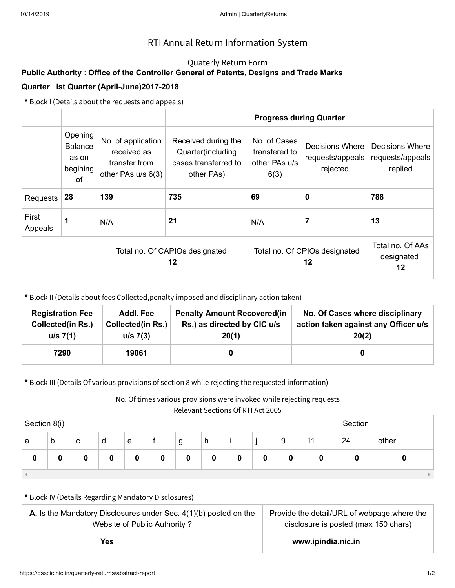## Quaterly Return Form

# **Public Authority** : **Office of the Controller General of Patents, Designs and Trade Marks Quarter** : **Ist Quarter (April-June)2017-2018**

**\*** Block I (Details about the requests and appeals)

|                  |                                                      |                                                                          |                                                                                | <b>Progress during Quarter</b>                                              |                                                 |                                                |  |  |
|------------------|------------------------------------------------------|--------------------------------------------------------------------------|--------------------------------------------------------------------------------|-----------------------------------------------------------------------------|-------------------------------------------------|------------------------------------------------|--|--|
|                  | Opening<br><b>Balance</b><br>as on<br>begining<br>of | No. of application<br>received as<br>transfer from<br>other PAs u/s 6(3) | Received during the<br>Quarter(including<br>cases transferred to<br>other PAs) | No. of Cases<br>transfered to<br>other PAs u/s<br>6(3)                      | Decisions Where<br>requests/appeals<br>rejected | Decisions Where<br>requests/appeals<br>replied |  |  |
| <b>Requests</b>  | 28                                                   | 139                                                                      | 735                                                                            | 69                                                                          | 0                                               | 788                                            |  |  |
| First<br>Appeals | 1                                                    | 21<br>N/A                                                                |                                                                                | N/A                                                                         | 7                                               | 13                                             |  |  |
|                  |                                                      |                                                                          | Total no. Of CAPIOs designated<br>12                                           | Total no. Of AAs<br>Total no. Of CPIOs designated<br>designated<br>12<br>12 |                                                 |                                                |  |  |

**\*** Block II (Details about fees Collected,penalty imposed and disciplinary action taken)

| <b>Registration Fee</b>  | Addl. Fee                | <b>Penalty Amount Recovered (in</b> | No. Of Cases where disciplinary      |
|--------------------------|--------------------------|-------------------------------------|--------------------------------------|
| <b>Collected(in Rs.)</b> | <b>Collected(in Rs.)</b> | Rs.) as directed by CIC u/s         | action taken against any Officer u/s |
| u/s 7(1)                 | $u/s$ 7(3)               | 20(1)                               | 20(2)                                |
| 7290                     | 19061                    |                                     |                                      |

**\*** Block III (Details Of various provisions of section 8 while rejecting the requested information)

No. Of times various provisions were invoked while rejecting requests

|  | Relevant Sections Of RTI Act 2005 |  |
|--|-----------------------------------|--|
|--|-----------------------------------|--|

|              | <u>Referant Sections Of Reference</u> |   |   |   |   |   |   |   |   |   |    |         |       |
|--------------|---------------------------------------|---|---|---|---|---|---|---|---|---|----|---------|-------|
| Section 8(i) |                                       |   |   |   |   |   |   |   |   |   |    | Section |       |
| a            | b                                     | c | d | e |   | g | h |   |   | 9 | 11 | 24      | other |
| 0            |                                       |   | 0 |   | 0 | 0 | 0 | 0 | 0 | 0 |    |         |       |
|              |                                       |   |   |   |   |   |   |   |   |   |    |         |       |

| <b>A.</b> Is the Mandatory Disclosures under Sec. $4(1)(b)$ posted on the | Provide the detail/URL of webpage, where the |  |  |  |
|---------------------------------------------------------------------------|----------------------------------------------|--|--|--|
| Website of Public Authority?                                              | disclosure is posted (max 150 chars)         |  |  |  |
| Yes                                                                       | www.ipindia.nic.in                           |  |  |  |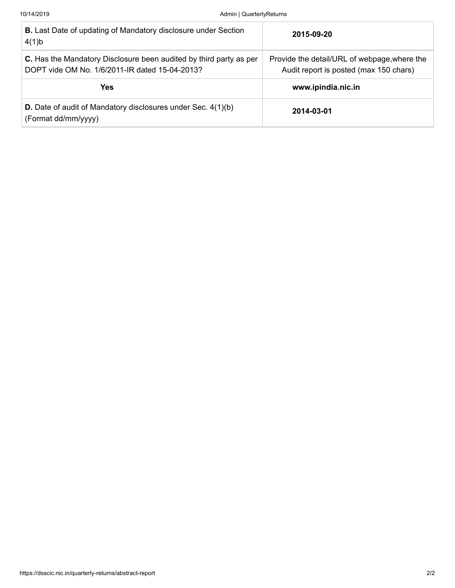| <b>B.</b> Last Date of updating of Mandatory disclosure under Section<br>4(1)b                                       | 2015-09-20                                                                             |
|----------------------------------------------------------------------------------------------------------------------|----------------------------------------------------------------------------------------|
| C. Has the Mandatory Disclosure been audited by third party as per<br>DOPT vide OM No. 1/6/2011-IR dated 15-04-2013? | Provide the detail/URL of webpage, where the<br>Audit report is posted (max 150 chars) |
| Yes.                                                                                                                 | www.ipindia.nic.in                                                                     |
| <b>D.</b> Date of audit of Mandatory disclosures under Sec. 4(1)(b)<br>(Format dd/mm/yyyy)                           | 2014-03-01                                                                             |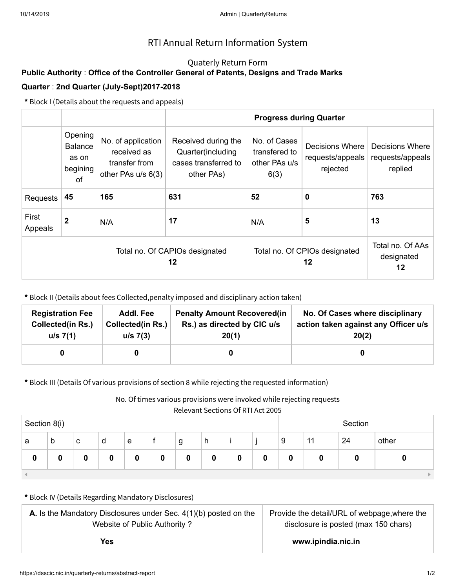## Quaterly Return Form

# **Public Authority** : **Office of the Controller General of Patents, Designs and Trade Marks Quarter** : **2nd Quarter (July-Sept)2017-2018**

**\*** Block I (Details about the requests and appeals)

|                  |                                                      |                                                                          |                                                                                | <b>Progress during Quarter</b>                                              |                                                 |                                                |  |  |
|------------------|------------------------------------------------------|--------------------------------------------------------------------------|--------------------------------------------------------------------------------|-----------------------------------------------------------------------------|-------------------------------------------------|------------------------------------------------|--|--|
|                  | Opening<br><b>Balance</b><br>as on<br>begining<br>of | No. of application<br>received as<br>transfer from<br>other PAs u/s 6(3) | Received during the<br>Quarter(including<br>cases transferred to<br>other PAs) | No. of Cases<br>transfered to<br>other PAs u/s<br>6(3)                      | Decisions Where<br>requests/appeals<br>rejected | Decisions Where<br>requests/appeals<br>replied |  |  |
| <b>Requests</b>  | 45                                                   | 165                                                                      | 631                                                                            | 52<br>0                                                                     |                                                 | 763                                            |  |  |
| First<br>Appeals | 2                                                    | N/A                                                                      | 17                                                                             | N/A                                                                         | 5                                               | 13                                             |  |  |
|                  |                                                      |                                                                          | Total no. Of CAPIOs designated<br>12                                           | Total no. Of AAs<br>Total no. Of CPIOs designated<br>designated<br>12<br>12 |                                                 |                                                |  |  |

**\*** Block II (Details about fees Collected,penalty imposed and disciplinary action taken)

| <b>Registration Fee</b>  | Addl. Fee                | <b>Penalty Amount Recovered(in</b> | No. Of Cases where disciplinary      |
|--------------------------|--------------------------|------------------------------------|--------------------------------------|
| <b>Collected(in Rs.)</b> | <b>Collected(in Rs.)</b> | Rs.) as directed by CIC u/s        | action taken against any Officer u/s |
| u/s 7(1)                 | $u/s$ 7(3)               | 20(1)                              | 20(2)                                |
|                          |                          |                                    |                                      |

**\*** Block III (Details Of various provisions of section 8 while rejecting the requested information)

No. Of times various provisions were invoked while rejecting requests

| Relevant Sections Of RTI Act 2005 |
|-----------------------------------|
|-----------------------------------|

| Section 8(i) |   |   |   |   |   |   |   |   |   |   |    | Section |       |
|--------------|---|---|---|---|---|---|---|---|---|---|----|---------|-------|
| a            | b | с | d | e |   | g | h |   |   | 9 | 11 | 24      | other |
| 0            |   |   | 0 |   | o | 0 | 0 | 0 | 0 | 0 | 0  |         |       |
|              |   |   |   |   |   |   |   |   |   |   |    |         |       |

| <b>A.</b> Is the Mandatory Disclosures under Sec. $4(1)(b)$ posted on the | Provide the detail/URL of webpage, where the |  |  |  |
|---------------------------------------------------------------------------|----------------------------------------------|--|--|--|
| Website of Public Authority?                                              | disclosure is posted (max 150 chars)         |  |  |  |
| Yes                                                                       | www.ipindia.nic.in                           |  |  |  |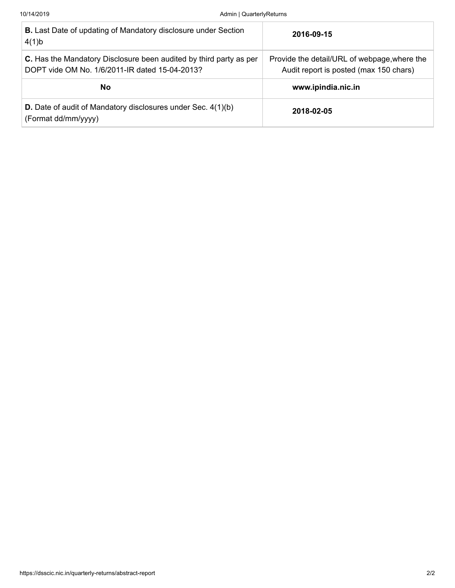| <b>B.</b> Last Date of updating of Mandatory disclosure under Section<br>4(1)b                                       | 2016-09-15                                                                             |
|----------------------------------------------------------------------------------------------------------------------|----------------------------------------------------------------------------------------|
| C. Has the Mandatory Disclosure been audited by third party as per<br>DOPT vide OM No. 1/6/2011-IR dated 15-04-2013? | Provide the detail/URL of webpage, where the<br>Audit report is posted (max 150 chars) |
| No.                                                                                                                  | www.ipindia.nic.in                                                                     |
| <b>D.</b> Date of audit of Mandatory disclosures under Sec. 4(1)(b)<br>(Format dd/mm/yyyy)                           | 2018-02-05                                                                             |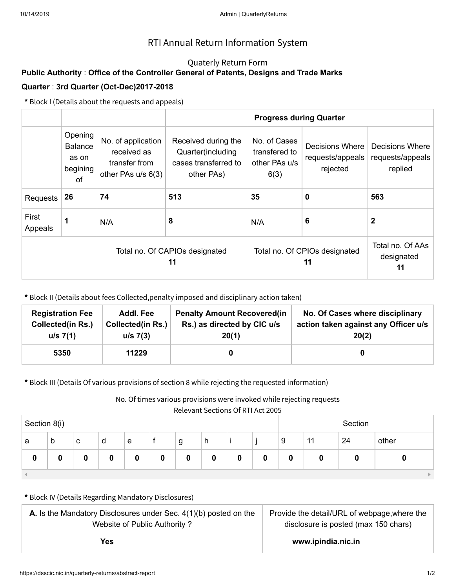## Quaterly Return Form

# **Public Authority** : **Office of the Controller General of Patents, Designs and Trade Marks Quarter** : **3rd Quarter (Oct-Dec)2017-2018**

**\*** Block I (Details about the requests and appeals)

|                  | Opening<br><b>Balance</b><br>as on<br>begining<br>of | No. of application<br>received as<br>transfer from<br>other PAs u/s 6(3) | Received during the<br>Quarter(including<br>cases transferred to<br>other PAs) | No. of Cases<br>transfered to<br>other PAs u/s<br>6(3) | Decisions Where<br>requests/appeals<br>rejected | Decisions Where<br>requests/appeals<br>replied |
|------------------|------------------------------------------------------|--------------------------------------------------------------------------|--------------------------------------------------------------------------------|--------------------------------------------------------|-------------------------------------------------|------------------------------------------------|
| Requests         | 26                                                   | 74                                                                       | 513                                                                            | 35                                                     | 0                                               | 563                                            |
| First<br>Appeals |                                                      | N/A                                                                      | 8                                                                              | N/A                                                    | 6                                               | 2                                              |
|                  |                                                      |                                                                          | Total no. Of CAPIOs designated<br>11                                           | Total no. Of CPIOs designated                          | Total no. Of AAs<br>designated<br>11            |                                                |

**\*** Block II (Details about fees Collected,penalty imposed and disciplinary action taken)

| <b>Registration Fee</b>  | Addl. Fee                | <b>Penalty Amount Recovered (in</b> | No. Of Cases where disciplinary      |
|--------------------------|--------------------------|-------------------------------------|--------------------------------------|
| <b>Collected(in Rs.)</b> | <b>Collected(in Rs.)</b> | Rs.) as directed by CIC u/s         | action taken against any Officer u/s |
| u/s 7(1)                 | $u/s$ 7(3)               | 20(1)                               | 20(2)                                |
| 5350                     | 11229                    |                                     |                                      |

**\*** Block III (Details Of various provisions of section 8 while rejecting the requested information)

No. Of times various provisions were invoked while rejecting requests

|  | Relevant Sections Of RTI Act 2005 |  |
|--|-----------------------------------|--|
|--|-----------------------------------|--|

|              | <u>Referant Sections Of Reference</u> |   |   |   |   |   |   |   |         |   |    |    |       |
|--------------|---------------------------------------|---|---|---|---|---|---|---|---------|---|----|----|-------|
| Section 8(i) |                                       |   |   |   |   |   |   |   | Section |   |    |    |       |
| a            | b                                     | c | d | e |   | g | h |   |         | 9 | 11 | 24 | other |
| 0            |                                       |   | 0 |   | 0 | 0 | 0 | 0 | 0       | 0 |    |    |       |
|              |                                       |   |   |   |   |   |   |   |         |   |    |    |       |

| <b>A.</b> Is the Mandatory Disclosures under Sec. $4(1)(b)$ posted on the | Provide the detail/URL of webpage, where the |
|---------------------------------------------------------------------------|----------------------------------------------|
| Website of Public Authority?                                              | disclosure is posted (max 150 chars)         |
| Yes                                                                       | www.ipindia.nic.in                           |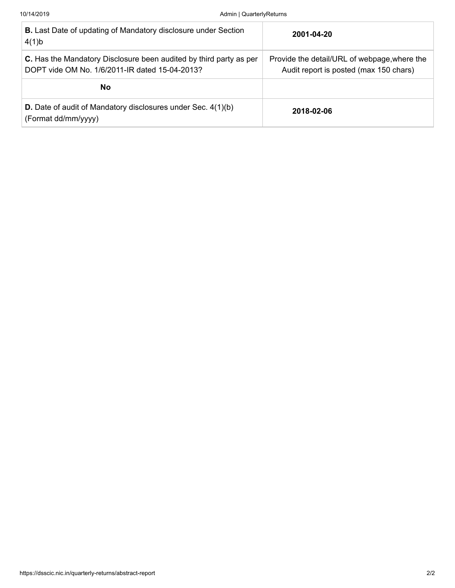| <b>B.</b> Last Date of updating of Mandatory disclosure under Section<br>4(1)b                                       | 2001-04-20                                                                             |
|----------------------------------------------------------------------------------------------------------------------|----------------------------------------------------------------------------------------|
| C. Has the Mandatory Disclosure been audited by third party as per<br>DOPT vide OM No. 1/6/2011-IR dated 15-04-2013? | Provide the detail/URL of webpage, where the<br>Audit report is posted (max 150 chars) |
| No.                                                                                                                  |                                                                                        |
| <b>D.</b> Date of audit of Mandatory disclosures under Sec. 4(1)(b)<br>(Format dd/mm/yyyy)                           | 2018-02-06                                                                             |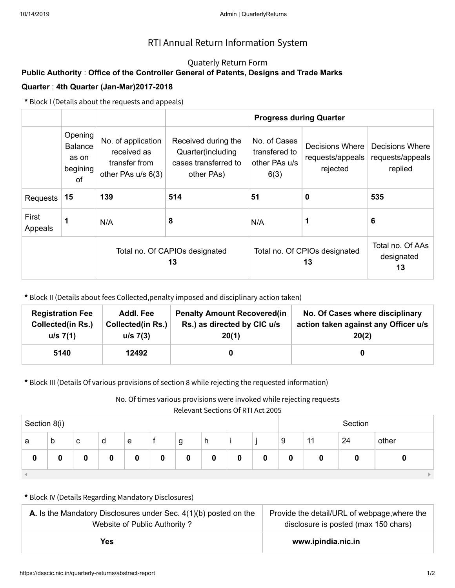## Quaterly Return Form

# **Public Authority** : **Office of the Controller General of Patents, Designs and Trade Marks Quarter** : **4th Quarter (Jan-Mar)2017-2018**

**\*** Block I (Details about the requests and appeals)

|                  | Opening<br><b>Balance</b><br>as on<br>begining<br>of | No. of application<br>received as<br>transfer from<br>other PAs u/s 6(3) | Received during the<br>Quarter(including<br>cases transferred to<br>other PAs) | No. of Cases<br>transfered to<br>other PAs u/s<br>6(3) | Decisions Where<br>requests/appeals<br>rejected | Decisions Where<br>requests/appeals<br>replied |
|------------------|------------------------------------------------------|--------------------------------------------------------------------------|--------------------------------------------------------------------------------|--------------------------------------------------------|-------------------------------------------------|------------------------------------------------|
| Requests         | 15                                                   | 139                                                                      | 514                                                                            | 51                                                     | 0                                               | 535                                            |
| First<br>Appeals |                                                      | N/A                                                                      | 8                                                                              | 1<br>N/A                                               |                                                 | 6                                              |
|                  |                                                      |                                                                          | Total no. Of CAPIOs designated<br>13                                           | Total no. Of CPIOs designated                          | Total no. Of AAs<br>designated<br>13            |                                                |

**\*** Block II (Details about fees Collected,penalty imposed and disciplinary action taken)

| <b>Registration Fee</b>  | <b>Addl. Fee</b>         | <b>Penalty Amount Recovered(in</b> | No. Of Cases where disciplinary      |
|--------------------------|--------------------------|------------------------------------|--------------------------------------|
| <b>Collected(in Rs.)</b> | <b>Collected(in Rs.)</b> | Rs.) as directed by CIC u/s        | action taken against any Officer u/s |
| u/s 7(1)                 | $u/s$ 7(3)               | 20(1)                              | 20(2)                                |
| 5140                     | 12492                    |                                    |                                      |

**\*** Block III (Details Of various provisions of section 8 while rejecting the requested information)

No. Of times various provisions were invoked while rejecting requests

|  | Relevant Sections Of RTI Act 2005 |  |
|--|-----------------------------------|--|
|--|-----------------------------------|--|

|              | <u>Referant Sections Of Reference</u> |   |   |   |   |   |   |   |         |   |    |    |       |
|--------------|---------------------------------------|---|---|---|---|---|---|---|---------|---|----|----|-------|
| Section 8(i) |                                       |   |   |   |   |   |   |   | Section |   |    |    |       |
| a            | b                                     | c | d | e |   | g | h |   |         | 9 | 11 | 24 | other |
| 0            |                                       |   | 0 |   | 0 | 0 | 0 | 0 | 0       | 0 |    |    |       |
|              |                                       |   |   |   |   |   |   |   |         |   |    |    |       |

| <b>A.</b> Is the Mandatory Disclosures under Sec. $4(1)(b)$ posted on the | Provide the detail/URL of webpage, where the |
|---------------------------------------------------------------------------|----------------------------------------------|
| Website of Public Authority?                                              | disclosure is posted (max 150 chars)         |
| Yes                                                                       | www.ipindia.nic.in                           |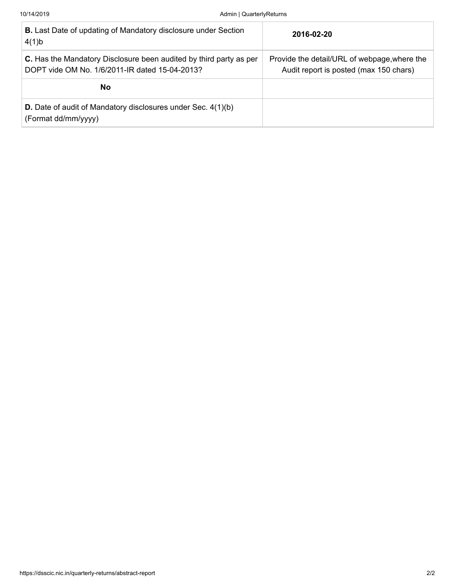| <b>B.</b> Last Date of updating of Mandatory disclosure under Section<br>4(1)b                                       | 2016-02-20                                                                             |
|----------------------------------------------------------------------------------------------------------------------|----------------------------------------------------------------------------------------|
| C. Has the Mandatory Disclosure been audited by third party as per<br>DOPT vide OM No. 1/6/2011-IR dated 15-04-2013? | Provide the detail/URL of webpage, where the<br>Audit report is posted (max 150 chars) |
| No                                                                                                                   |                                                                                        |
| <b>D.</b> Date of audit of Mandatory disclosures under Sec. 4(1)(b)<br>(Format dd/mm/yyyy)                           |                                                                                        |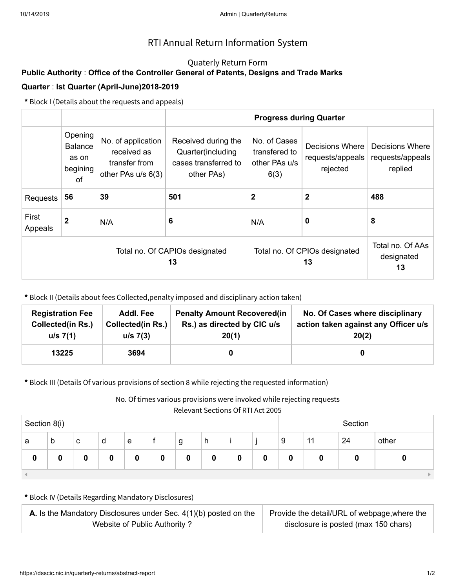## Quaterly Return Form

# **Public Authority** : **Office of the Controller General of Patents, Designs and Trade Marks Quarter** : **Ist Quarter (April-June)2018-2019**

**\*** Block I (Details about the requests and appeals)

|                  |                                                      |                                                                          | <b>Progress during Quarter</b>                                                 |                                                        |                                                 |                                                |  |  |  |
|------------------|------------------------------------------------------|--------------------------------------------------------------------------|--------------------------------------------------------------------------------|--------------------------------------------------------|-------------------------------------------------|------------------------------------------------|--|--|--|
|                  | Opening<br><b>Balance</b><br>as on<br>begining<br>0f | No. of application<br>received as<br>transfer from<br>other PAs u/s 6(3) | Received during the<br>Quarter(including<br>cases transferred to<br>other PAs) | No. of Cases<br>transfered to<br>other PAs u/s<br>6(3) | Decisions Where<br>requests/appeals<br>rejected | Decisions Where<br>requests/appeals<br>replied |  |  |  |
| Requests         | 56                                                   | 39                                                                       | 501                                                                            | 2                                                      | 2                                               | 488                                            |  |  |  |
| First<br>Appeals | $\mathbf 2$                                          | 6<br>N/A                                                                 |                                                                                | 0<br>N/A                                               |                                                 | 8                                              |  |  |  |
|                  |                                                      |                                                                          | Total no. Of CAPIOs designated<br>13                                           | Total no. Of CPIOs designated                          | Total no. Of AAs<br>designated<br>13            |                                                |  |  |  |

**\*** Block II (Details about fees Collected,penalty imposed and disciplinary action taken)

| <b>Registration Fee</b>  | Addl. Fee                | <b>Penalty Amount Recovered (in</b> | No. Of Cases where disciplinary      |
|--------------------------|--------------------------|-------------------------------------|--------------------------------------|
| <b>Collected(in Rs.)</b> | <b>Collected(in Rs.)</b> | Rs.) as directed by CIC u/s         | action taken against any Officer u/s |
| u/s 7(1)                 | $u/s$ 7(3)               | 20(1)                               | 20(2)                                |
| 13225                    | 3694                     |                                     |                                      |

**\*** Block III (Details Of various provisions of section 8 while rejecting the requested information)

No. Of times various provisions were invoked while rejecting requests

|  | Relevant Sections Of RTI Act 2005 |  |
|--|-----------------------------------|--|
|--|-----------------------------------|--|

| 1.333111.933111.11111.1312.2003 |   |   |   |   |   |   |   |   |         |   |    |    |       |
|---------------------------------|---|---|---|---|---|---|---|---|---------|---|----|----|-------|
| Section 8(i)                    |   |   |   |   |   |   |   |   | Section |   |    |    |       |
| a                               | b | c | d | e |   | g | h |   |         | 9 | 11 | 24 | other |
| 0                               |   |   | 0 |   | 0 | 0 | 0 | 0 | 0       | 0 | 0  |    |       |
|                                 |   |   |   |   |   |   |   |   |         |   |    |    |       |

| <b>A.</b> Is the Mandatory Disclosures under Sec. $4(1)(b)$ posted on the | Provide the detail/URL of webpage, where the |
|---------------------------------------------------------------------------|----------------------------------------------|
| Website of Public Authority?                                              | disclosure is posted (max 150 chars)         |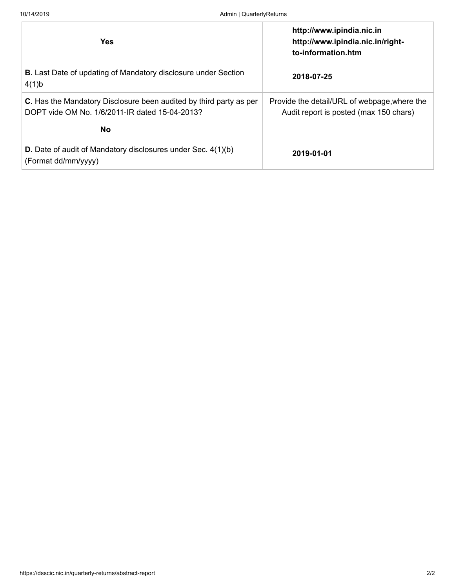| <b>Yes</b>                                                                                                           | http://www.ipindia.nic.in<br>http://www.ipindia.nic.in/right-<br>to-information.htm    |
|----------------------------------------------------------------------------------------------------------------------|----------------------------------------------------------------------------------------|
| <b>B.</b> Last Date of updating of Mandatory disclosure under Section<br>4(1)b                                       | 2018-07-25                                                                             |
| C. Has the Mandatory Disclosure been audited by third party as per<br>DOPT vide OM No. 1/6/2011-IR dated 15-04-2013? | Provide the detail/URL of webpage, where the<br>Audit report is posted (max 150 chars) |
| <b>No</b>                                                                                                            |                                                                                        |
| <b>D.</b> Date of audit of Mandatory disclosures under Sec. 4(1)(b)<br>(Format dd/mm/yyyy)                           | 2019-01-01                                                                             |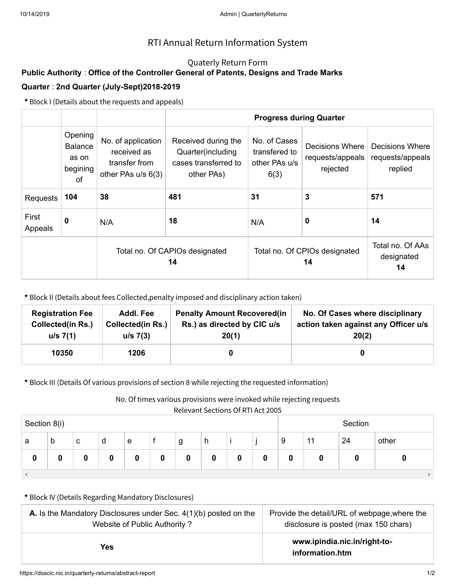## Quaterly Return Form

# **Public Authority** : **Office of the Controller General of Patents, Designs and Trade Marks Quarter** : **2nd Quarter (July-Sept)2018-2019**

**\*** Block I (Details about the requests and appeals)

|                  | Opening<br><b>Balance</b><br>as on<br>begining<br>of | No. of application<br>received as<br>transfer from<br>other PAs u/s 6(3) | Received during the<br>Quarter(including<br>cases transferred to<br>other PAs) | No. of Cases<br>transfered to<br>other PAs u/s<br>6(3) | Decisions Where<br>requests/appeals<br>rejected | Decisions Where<br>requests/appeals<br>replied |
|------------------|------------------------------------------------------|--------------------------------------------------------------------------|--------------------------------------------------------------------------------|--------------------------------------------------------|-------------------------------------------------|------------------------------------------------|
| <b>Requests</b>  | 104                                                  | 38                                                                       | 481                                                                            |                                                        | 3                                               | 571                                            |
| First<br>Appeals | 0                                                    | N/A                                                                      | 18                                                                             | 0<br>N/A                                               |                                                 | 14                                             |
|                  |                                                      |                                                                          | Total no. Of CAPIOs designated<br>14                                           | Total no. Of CPIOs designated                          | Total no. Of AAs<br>designated<br>14            |                                                |

**\*** Block II (Details about fees Collected,penalty imposed and disciplinary action taken)

| <b>Registration Fee</b>  | Addl. Fee                | <b>Penalty Amount Recovered (in</b> | No. Of Cases where disciplinary      |
|--------------------------|--------------------------|-------------------------------------|--------------------------------------|
| <b>Collected(in Rs.)</b> | <b>Collected(in Rs.)</b> | Rs.) as directed by CIC u/s         | action taken against any Officer u/s |
| u/s 7(1)                 | $u/s$ 7(3)               | 20(1)                               | 20(2)                                |
| 10350                    | 1206                     |                                     |                                      |

**\*** Block III (Details Of various provisions of section 8 while rejecting the requested information)

No. Of times various provisions were invoked while rejecting requests

|  | Relevant Sections Of RTI Act 2005 |  |
|--|-----------------------------------|--|
|--|-----------------------------------|--|

|              | <u>Relevant Sections Of Rinact 2005</u> |   |   |   |   |   |   |   |         |   |    |    |       |
|--------------|-----------------------------------------|---|---|---|---|---|---|---|---------|---|----|----|-------|
| Section 8(i) |                                         |   |   |   |   |   |   |   | Section |   |    |    |       |
| a            | b                                       | c | d | e |   | g | h |   |         | 9 | 11 | 24 | other |
| 0            |                                         |   | 0 |   | 0 | 0 | 0 | 0 | 0       | 0 | 0  |    |       |
|              |                                         |   |   |   |   |   |   |   |         |   |    |    |       |

| <b>A.</b> Is the Mandatory Disclosures under Sec. $4(1)(b)$ posted on the | Provide the detail/URL of webpage, where the    |
|---------------------------------------------------------------------------|-------------------------------------------------|
| Website of Public Authority?                                              | disclosure is posted (max 150 chars)            |
| Yes.                                                                      | www.ipindia.nic.in/right-to-<br>information.htm |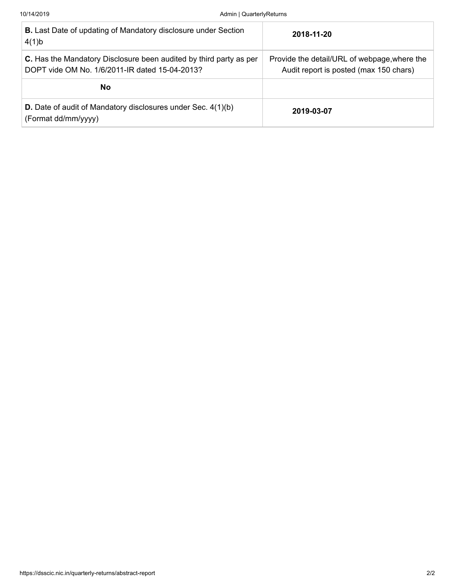| <b>B.</b> Last Date of updating of Mandatory disclosure under Section<br>4(1)b                                       | 2018-11-20                                                                             |
|----------------------------------------------------------------------------------------------------------------------|----------------------------------------------------------------------------------------|
| C. Has the Mandatory Disclosure been audited by third party as per<br>DOPT vide OM No. 1/6/2011-IR dated 15-04-2013? | Provide the detail/URL of webpage, where the<br>Audit report is posted (max 150 chars) |
| No.                                                                                                                  |                                                                                        |
| <b>D.</b> Date of audit of Mandatory disclosures under Sec. 4(1)(b)<br>(Format dd/mm/yyyy)                           | 2019-03-07                                                                             |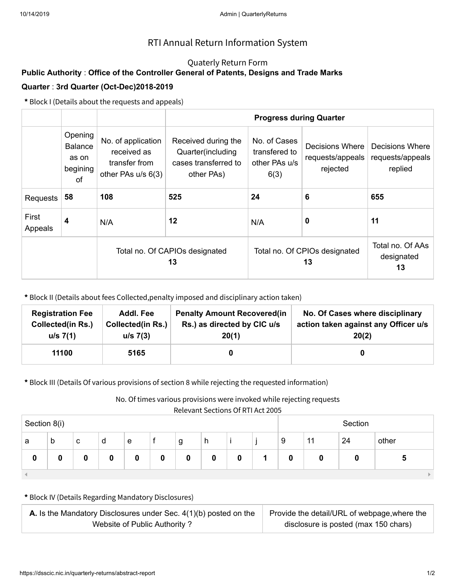## Quaterly Return Form

# **Public Authority** : **Office of the Controller General of Patents, Designs and Trade Marks Quarter** : **3rd Quarter (Oct-Dec)2018-2019**

**\*** Block I (Details about the requests and appeals)

|                  | Opening<br>No. of application<br><b>Balance</b><br>received as<br>as on<br>transfer from<br>begining<br>other PAs u/s 6(3)<br>of |     | Received during the<br>Quarter(including<br>cases transferred to<br>other PAs) | No. of Cases<br>transfered to<br>other PAs u/s<br>6(3) | Decisions Where<br>requests/appeals<br>rejected | Decisions Where<br>requests/appeals<br>replied |
|------------------|----------------------------------------------------------------------------------------------------------------------------------|-----|--------------------------------------------------------------------------------|--------------------------------------------------------|-------------------------------------------------|------------------------------------------------|
| <b>Requests</b>  | 58                                                                                                                               | 108 | 525                                                                            | 24                                                     | 6                                               | 655                                            |
| First<br>Appeals | 4                                                                                                                                | N/A | 12                                                                             | N/A                                                    | 0                                               | 11                                             |
|                  |                                                                                                                                  |     | Total no. Of CAPIOs designated<br>13                                           | Total no. Of CPIOs designated                          | Total no. Of AAs<br>designated<br>13            |                                                |

**\*** Block II (Details about fees Collected,penalty imposed and disciplinary action taken)

| <b>Registration Fee</b>  | Addl. Fee                | <b>Penalty Amount Recovered (in</b> | No. Of Cases where disciplinary      |
|--------------------------|--------------------------|-------------------------------------|--------------------------------------|
| <b>Collected(in Rs.)</b> | <b>Collected(in Rs.)</b> | Rs.) as directed by CIC u/s         | action taken against any Officer u/s |
| u/s 7(1)                 | $u/s$ 7(3)               | 20(1)                               | 20(2)                                |
| 11100                    | 5165                     |                                     |                                      |

**\*** Block III (Details Of various provisions of section 8 while rejecting the requested information)

No. Of times various provisions were invoked while rejecting requests

Relevant Sections Of RTI Act 2005

| <u>REIEVAIIL SECUVIIS VI RITACLZVUS</u><br>Section 8(i) |   |   |   |   |  |   |   |   | Section |   |    |    |       |
|---------------------------------------------------------|---|---|---|---|--|---|---|---|---------|---|----|----|-------|
| a                                                       | b | c | d | e |  | g | h |   |         | 9 | 11 | 24 | other |
| 0                                                       |   |   | 0 |   |  | 0 | 0 | 0 |         | 0 |    |    | Э     |
|                                                         |   |   |   |   |  |   |   |   |         |   |    |    |       |

| <b>A.</b> Is the Mandatory Disclosures under Sec. $4(1)(b)$ posted on the | Provide the detail/URL of webpage, where the |  |  |
|---------------------------------------------------------------------------|----------------------------------------------|--|--|
| Website of Public Authority?                                              | disclosure is posted (max 150 chars)         |  |  |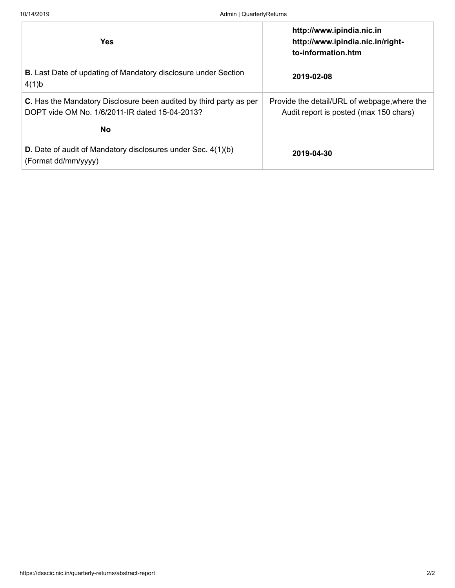| <b>Yes</b>                                                                                                           | http://www.ipindia.nic.in<br>http://www.ipindia.nic.in/right-<br>to-information.htm    |
|----------------------------------------------------------------------------------------------------------------------|----------------------------------------------------------------------------------------|
| <b>B.</b> Last Date of updating of Mandatory disclosure under Section<br>4(1)b                                       | 2019-02-08                                                                             |
| C. Has the Mandatory Disclosure been audited by third party as per<br>DOPT vide OM No. 1/6/2011-IR dated 15-04-2013? | Provide the detail/URL of webpage, where the<br>Audit report is posted (max 150 chars) |
| <b>No</b>                                                                                                            |                                                                                        |
| <b>D.</b> Date of audit of Mandatory disclosures under Sec. 4(1)(b)<br>(Format dd/mm/yyyy)                           | 2019-04-30                                                                             |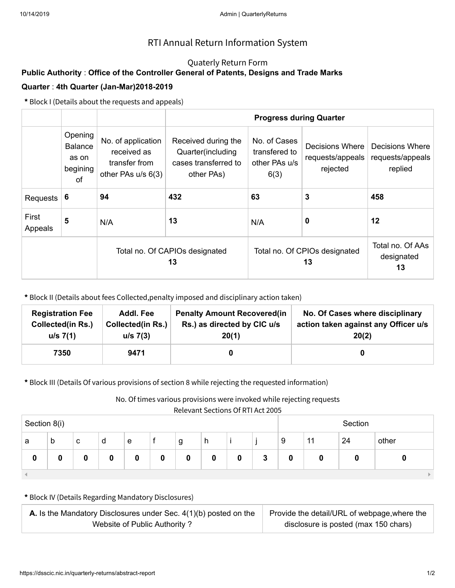## Quaterly Return Form

# **Public Authority** : **Office of the Controller General of Patents, Designs and Trade Marks Quarter** : **4th Quarter (Jan-Mar)2018-2019**

**\*** Block I (Details about the requests and appeals)

|                  | Opening<br>No. of application<br><b>Balance</b><br>received as<br>as on<br>transfer from<br>begining<br>other PAs u/s 6(3)<br>of |     | Received during the<br>Quarter(including<br>cases transferred to<br>other PAs) | No. of Cases<br>transfered to<br>other PAs u/s<br>6(3) | Decisions Where<br>requests/appeals<br>rejected | Decisions Where<br>requests/appeals<br>replied |
|------------------|----------------------------------------------------------------------------------------------------------------------------------|-----|--------------------------------------------------------------------------------|--------------------------------------------------------|-------------------------------------------------|------------------------------------------------|
| Requests         | 6                                                                                                                                | 94  | 432                                                                            | 63                                                     | 3                                               | 458                                            |
| First<br>Appeals | 5                                                                                                                                | N/A | 13                                                                             | N/A                                                    | 0                                               | 12                                             |
|                  |                                                                                                                                  |     | Total no. Of CAPIOs designated<br>13                                           | Total no. Of CPIOs designated                          | Total no. Of AAs<br>designated<br>13            |                                                |

**\*** Block II (Details about fees Collected,penalty imposed and disciplinary action taken)

| <b>Registration Fee</b>  | Addl. Fee                | <b>Penalty Amount Recovered(in</b> | No. Of Cases where disciplinary      |
|--------------------------|--------------------------|------------------------------------|--------------------------------------|
| <b>Collected(in Rs.)</b> | <b>Collected(in Rs.)</b> | Rs.) as directed by CIC u/s        | action taken against any Officer u/s |
| u/s 7(1)                 | $u/s$ 7(3)               | 20(1)                              | 20(2)                                |
| 7350                     | 9471                     |                                    |                                      |

**\*** Block III (Details Of various provisions of section 8 while rejecting the requested information)

No. Of times various provisions were invoked while rejecting requests

Relevant Sections Of RTI Act 2005

| <u>REIEVAIIL SECUVIIS VI RITACLZVUS</u><br>Section 8(i) |   |   |   |   |  |   |   |   | Section |   |    |    |       |
|---------------------------------------------------------|---|---|---|---|--|---|---|---|---------|---|----|----|-------|
| a                                                       | b | c | d | e |  | g | h |   |         | 9 | 11 | 24 | other |
| 0                                                       |   |   | 0 |   |  | 0 | 0 | 0 | 3       | 0 |    |    |       |
|                                                         |   |   |   |   |  |   |   |   |         |   |    |    |       |

| <b>A.</b> Is the Mandatory Disclosures under Sec. $4(1)(b)$ posted on the | Provide the detail/URL of webpage, where the |  |  |
|---------------------------------------------------------------------------|----------------------------------------------|--|--|
| Website of Public Authority?                                              | disclosure is posted (max 150 chars)         |  |  |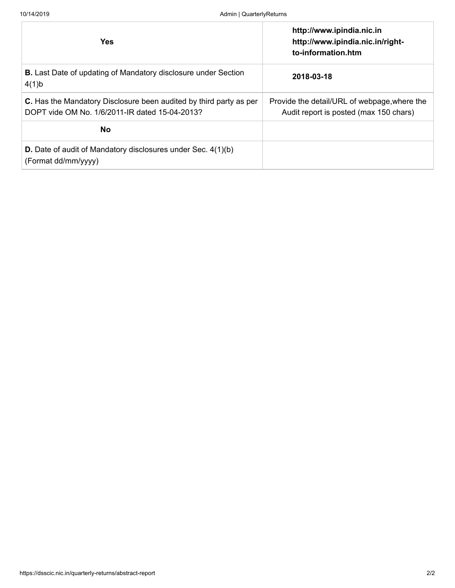| <b>Yes</b>                                                                                                           | http://www.ipindia.nic.in<br>http://www.ipindia.nic.in/right-<br>to-information.htm    |
|----------------------------------------------------------------------------------------------------------------------|----------------------------------------------------------------------------------------|
| <b>B.</b> Last Date of updating of Mandatory disclosure under Section<br>4(1)b                                       | 2018-03-18                                                                             |
| C. Has the Mandatory Disclosure been audited by third party as per<br>DOPT vide OM No. 1/6/2011-IR dated 15-04-2013? | Provide the detail/URL of webpage, where the<br>Audit report is posted (max 150 chars) |
| <b>No</b>                                                                                                            |                                                                                        |
| <b>D.</b> Date of audit of Mandatory disclosures under Sec. 4(1)(b)<br>(Format dd/mm/yyyy)                           |                                                                                        |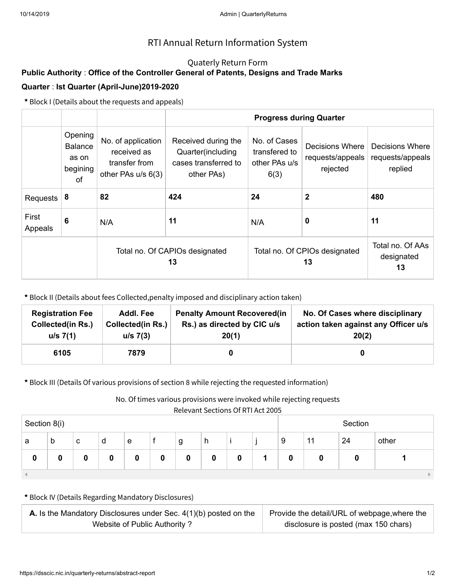## Quaterly Return Form

# **Public Authority** : **Office of the Controller General of Patents, Designs and Trade Marks Quarter** : **Ist Quarter (April-June)2019-2020**

**\*** Block I (Details about the requests and appeals)

|                  | Opening<br>No. of application<br><b>Balance</b><br>received as<br>as on<br>transfer from<br>begining<br>other PAs u/s 6(3)<br>of |     | Received during the<br>Quarter(including<br>cases transferred to<br>other PAs) | No. of Cases<br>transfered to<br>other PAs u/s<br>6(3) | Decisions Where<br>requests/appeals<br>rejected | Decisions Where<br>requests/appeals<br>replied |
|------------------|----------------------------------------------------------------------------------------------------------------------------------|-----|--------------------------------------------------------------------------------|--------------------------------------------------------|-------------------------------------------------|------------------------------------------------|
| Requests         | 8                                                                                                                                | 82  | 424                                                                            | 24                                                     | $\mathbf 2$                                     | 480                                            |
| First<br>Appeals | 6                                                                                                                                | N/A | 11                                                                             | N/A                                                    | 0                                               | 11                                             |
|                  |                                                                                                                                  |     | Total no. Of CAPIOs designated<br>13                                           | Total no. Of CPIOs designated                          | Total no. Of AAs<br>designated<br>13            |                                                |

**\*** Block II (Details about fees Collected,penalty imposed and disciplinary action taken)

| <b>Registration Fee</b>  | Addl. Fee                | <b>Penalty Amount Recovered (in</b> | No. Of Cases where disciplinary      |
|--------------------------|--------------------------|-------------------------------------|--------------------------------------|
| <b>Collected(in Rs.)</b> | <b>Collected(in Rs.)</b> | Rs.) as directed by CIC u/s         | action taken against any Officer u/s |
| u/s 7(1)                 | $u/s$ 7(3)               | 20(1)                               | 20(2)                                |
| 6105                     | 7879                     |                                     |                                      |

**\*** Block III (Details Of various provisions of section 8 while rejecting the requested information)

No. Of times various provisions were invoked while rejecting requests

Relevant Sections Of RTI Act 2005

|              |   |   |   |   |  |   |   |         | <u>REIEVAIIL SECUVIIS VI RITACLZVUS</u> |   |    |    |       |
|--------------|---|---|---|---|--|---|---|---------|-----------------------------------------|---|----|----|-------|
| Section 8(i) |   |   |   |   |  |   |   | Section |                                         |   |    |    |       |
| a            | b | c | d | e |  | g | h |         |                                         | 9 | 11 | 24 | other |
| 0            |   |   | 0 |   |  | 0 | 0 | 0       |                                         | 0 |    |    |       |
|              |   |   |   |   |  |   |   |         |                                         |   |    |    |       |

| <b>A.</b> Is the Mandatory Disclosures under Sec. $4(1)(b)$ posted on the | Provide the detail/URL of webpage, where the |
|---------------------------------------------------------------------------|----------------------------------------------|
| Website of Public Authority?                                              | disclosure is posted (max 150 chars)         |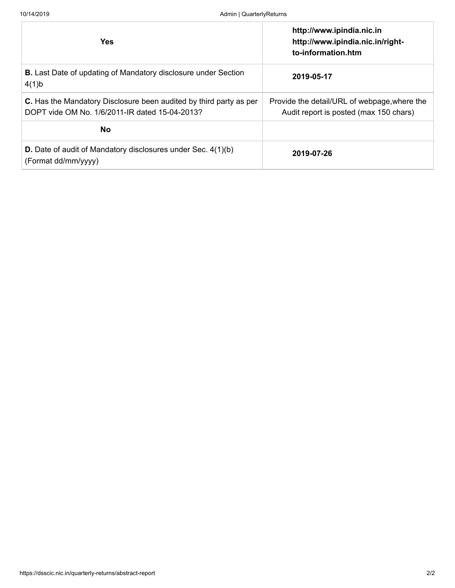| <b>Yes</b>                                                                                                           | http://www.ipindia.nic.in<br>http://www.ipindia.nic.in/right-<br>to-information.htm    |
|----------------------------------------------------------------------------------------------------------------------|----------------------------------------------------------------------------------------|
| <b>B.</b> Last Date of updating of Mandatory disclosure under Section<br>4(1)b                                       | 2019-05-17                                                                             |
| C. Has the Mandatory Disclosure been audited by third party as per<br>DOPT vide OM No. 1/6/2011-IR dated 15-04-2013? | Provide the detail/URL of webpage, where the<br>Audit report is posted (max 150 chars) |
| <b>No</b>                                                                                                            |                                                                                        |
| <b>D.</b> Date of audit of Mandatory disclosures under Sec. 4(1)(b)<br>(Format dd/mm/yyyy)                           | 2019-07-26                                                                             |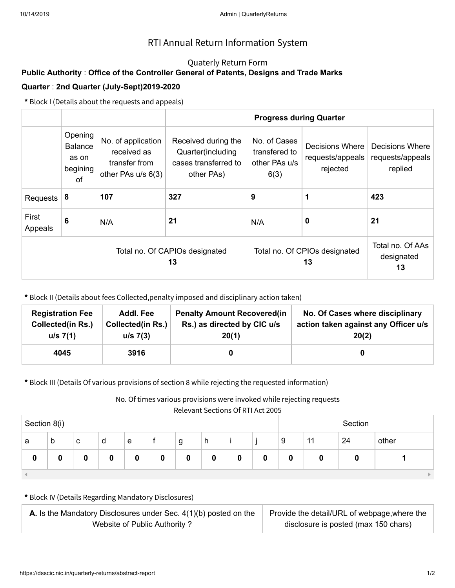## Quaterly Return Form

# **Public Authority** : **Office of the Controller General of Patents, Designs and Trade Marks Quarter** : **2nd Quarter (July-Sept)2019-2020**

**\*** Block I (Details about the requests and appeals)

|                  | Opening<br><b>Balance</b><br>as on<br>begining<br>0f | No. of application<br>received as<br>transfer from<br>other PAs u/s 6(3) | Received during the<br>Quarter(including<br>cases transferred to<br>other PAs) | No. of Cases<br>transfered to<br>other PAs u/s<br>6(3) | Decisions Where<br>requests/appeals<br>rejected | Decisions Where<br>requests/appeals<br>replied |
|------------------|------------------------------------------------------|--------------------------------------------------------------------------|--------------------------------------------------------------------------------|--------------------------------------------------------|-------------------------------------------------|------------------------------------------------|
| Requests         | 8                                                    | 107                                                                      | 327                                                                            | 9                                                      | 1                                               | 423                                            |
| First<br>Appeals | 6                                                    | N/A                                                                      | 21                                                                             | N/A                                                    | 0                                               | 21                                             |
|                  |                                                      |                                                                          | Total no. Of CAPIOs designated<br>13                                           | Total no. Of CPIOs designated                          | Total no. Of AAs<br>designated<br>13            |                                                |

**\*** Block II (Details about fees Collected,penalty imposed and disciplinary action taken)

| <b>Registration Fee</b>  | Addl. Fee                | <b>Penalty Amount Recovered (in</b> | No. Of Cases where disciplinary      |
|--------------------------|--------------------------|-------------------------------------|--------------------------------------|
| <b>Collected(in Rs.)</b> | <b>Collected(in Rs.)</b> | Rs.) as directed by CIC u/s         | action taken against any Officer u/s |
| u/s 7(1)                 | $u/s$ 7(3)               | 20(1)                               | 20(2)                                |
| 4045                     | 3916                     |                                     |                                      |

**\*** Block III (Details Of various provisions of section 8 while rejecting the requested information)

No. Of times various provisions were invoked while rejecting requests

|              |   |   |   |   |   |   |   |         | 11010 Valle Occupito Of Itilia 10020 |   |    |    |       |
|--------------|---|---|---|---|---|---|---|---------|--------------------------------------|---|----|----|-------|
| Section 8(i) |   |   |   |   |   |   |   | Section |                                      |   |    |    |       |
| a            | b | c | d | e |   | g | h |         |                                      | 9 | 11 | 24 | other |
| 0            |   |   | 0 |   | 0 | 0 | 0 | 0       | 0                                    | 0 | 0  |    |       |
|              |   |   |   |   |   |   |   |         |                                      |   |    |    |       |

| <b>A.</b> Is the Mandatory Disclosures under Sec. $4(1)(b)$ posted on the | Provide the detail/URL of webpage, where the |
|---------------------------------------------------------------------------|----------------------------------------------|
| Website of Public Authority?                                              | disclosure is posted (max 150 chars)         |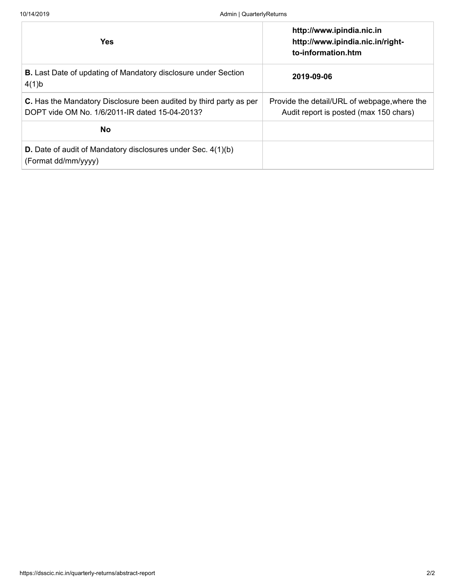| <b>Yes</b>                                                                                                           | http://www.ipindia.nic.in<br>http://www.ipindia.nic.in/right-<br>to-information.htm    |
|----------------------------------------------------------------------------------------------------------------------|----------------------------------------------------------------------------------------|
| <b>B.</b> Last Date of updating of Mandatory disclosure under Section<br>4(1)b                                       | 2019-09-06                                                                             |
| C. Has the Mandatory Disclosure been audited by third party as per<br>DOPT vide OM No. 1/6/2011-IR dated 15-04-2013? | Provide the detail/URL of webpage, where the<br>Audit report is posted (max 150 chars) |
| <b>No</b>                                                                                                            |                                                                                        |
| <b>D.</b> Date of audit of Mandatory disclosures under Sec. 4(1)(b)<br>(Format dd/mm/yyyy)                           |                                                                                        |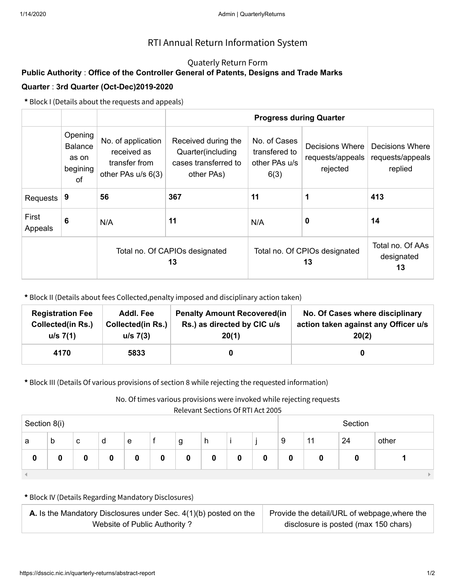## Quaterly Return Form

# **Public Authority** : **Office of the Controller General of Patents, Designs and Trade Marks Quarter** : **3rd Quarter (Oct-Dec)2019-2020**

**\*** Block I (Details about the requests and appeals)

|                  | Opening<br><b>Balance</b><br>as on<br>begining<br>0f | No. of application<br>received as<br>transfer from<br>other PAs u/s 6(3) | Received during the<br>Quarter(including<br>cases transferred to<br>other PAs) | No. of Cases<br>transfered to<br>other PAs u/s<br>6(3) | Decisions Where<br>requests/appeals<br>rejected | Decisions Where<br>requests/appeals<br>replied |
|------------------|------------------------------------------------------|--------------------------------------------------------------------------|--------------------------------------------------------------------------------|--------------------------------------------------------|-------------------------------------------------|------------------------------------------------|
| Requests         | 9                                                    | 56                                                                       | 367                                                                            | 11                                                     | 1                                               | 413                                            |
| First<br>Appeals | 6                                                    | N/A                                                                      | 11                                                                             | N/A                                                    | 0                                               | 14                                             |
|                  |                                                      |                                                                          | Total no. Of CAPIOs designated<br>13                                           | Total no. Of CPIOs designated                          | Total no. Of AAs<br>designated<br>13            |                                                |

**\*** Block II (Details about fees Collected,penalty imposed and disciplinary action taken)

| <b>Registration Fee</b> | Addl. Fee                | <b>Penalty Amount Recovered(in</b> | No. Of Cases where disciplinary      |
|-------------------------|--------------------------|------------------------------------|--------------------------------------|
| Collected(in Rs.)       | <b>Collected(in Rs.)</b> | Rs.) as directed by CIC u/s        | action taken against any Officer u/s |
| u/s 7(1)                | $u/s$ 7(3)               | 20(1)                              | 20(2)                                |
| 4170                    | 5833                     |                                    |                                      |

**\*** Block III (Details Of various provisions of section 8 while rejecting the requested information)

No. Of times various provisions were invoked while rejecting requests

|              | $1.333111.933111.11111.13121.13111.13111.13111.13111.13111.13111.13111.13111.13111.13111.13111.13111.13111.13111.13111.13111.13111.13111.13111.13111.13111.13111.13111.13111.13111.13111.13111.13111.13111.13111.13111.13111.$ |   |   |   |   |   |   |   |   |   |    |         |       |
|--------------|--------------------------------------------------------------------------------------------------------------------------------------------------------------------------------------------------------------------------------|---|---|---|---|---|---|---|---|---|----|---------|-------|
| Section 8(i) |                                                                                                                                                                                                                                |   |   |   |   |   |   |   |   |   |    | Section |       |
| a            | b                                                                                                                                                                                                                              | c | d | e |   | g | h |   |   | 9 | 11 | 24      | other |
| 0            |                                                                                                                                                                                                                                |   | 0 |   | 0 | 0 | 0 | 0 | 0 | 0 | 0  |         |       |
|              |                                                                                                                                                                                                                                |   |   |   |   |   |   |   |   |   |    |         |       |

| <b>A.</b> Is the Mandatory Disclosures under Sec. $4(1)(b)$ posted on the | Provide the detail/URL of webpage, where the |
|---------------------------------------------------------------------------|----------------------------------------------|
| Website of Public Authority?                                              | disclosure is posted (max 150 chars)         |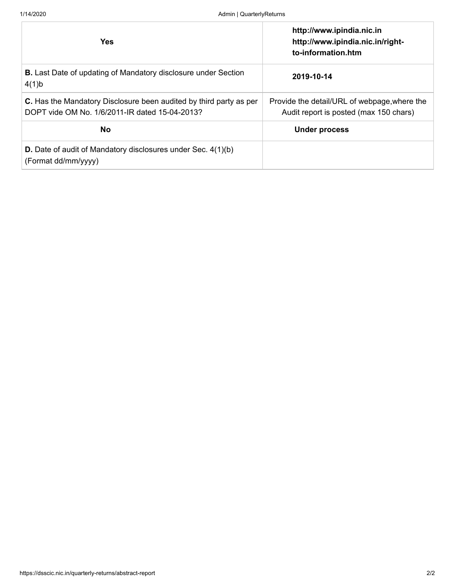| <b>Yes</b>                                                                                                           | http://www.ipindia.nic.in<br>http://www.ipindia.nic.in/right-<br>to-information.htm    |
|----------------------------------------------------------------------------------------------------------------------|----------------------------------------------------------------------------------------|
| <b>B.</b> Last Date of updating of Mandatory disclosure under Section<br>4(1)b                                       | 2019-10-14                                                                             |
| C. Has the Mandatory Disclosure been audited by third party as per<br>DOPT vide OM No. 1/6/2011-IR dated 15-04-2013? | Provide the detail/URL of webpage, where the<br>Audit report is posted (max 150 chars) |
| <b>No</b>                                                                                                            | <b>Under process</b>                                                                   |
| <b>D.</b> Date of audit of Mandatory disclosures under Sec. 4(1)(b)<br>(Format dd/mm/yyyy)                           |                                                                                        |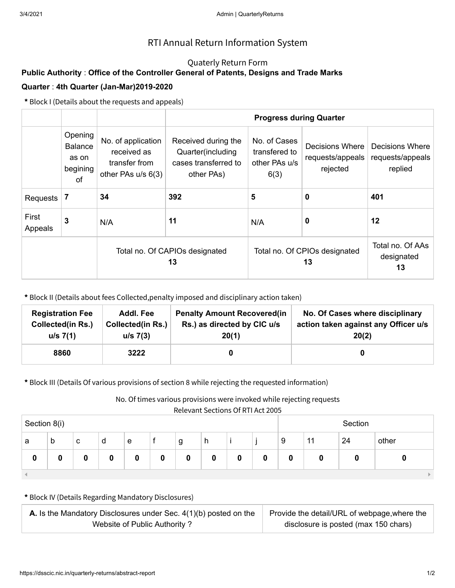## Quaterly Return Form

# **Public Authority** : **Office of the Controller General of Patents, Designs and Trade Marks Quarter** : **4th Quarter (Jan-Mar)2019-2020**

**\*** Block I (Details about the requests and appeals)

|                  |                                                      |                                                                          |                                                                                | <b>Progress during Quarter</b>                         |                                                 |                                                |  |
|------------------|------------------------------------------------------|--------------------------------------------------------------------------|--------------------------------------------------------------------------------|--------------------------------------------------------|-------------------------------------------------|------------------------------------------------|--|
|                  | Opening<br><b>Balance</b><br>as on<br>begining<br>0f | No. of application<br>received as<br>transfer from<br>other PAs u/s 6(3) | Received during the<br>Quarter(including<br>cases transferred to<br>other PAs) | No. of Cases<br>transfered to<br>other PAs u/s<br>6(3) | Decisions Where<br>requests/appeals<br>rejected | Decisions Where<br>requests/appeals<br>replied |  |
| <b>Requests</b>  | 7                                                    | 34                                                                       | 392                                                                            | 5                                                      | 0                                               | 401                                            |  |
| First<br>Appeals | 3                                                    | N/A                                                                      | 11                                                                             | 0<br>N/A                                               |                                                 | 12                                             |  |
|                  |                                                      |                                                                          | Total no. Of CAPIOs designated<br>13                                           | Total no. Of CPIOs designated                          | Total no. Of AAs<br>designated<br>13            |                                                |  |

**\*** Block II (Details about fees Collected,penalty imposed and disciplinary action taken)

| <b>Registration Fee</b><br>Addl. Fee<br>Collected(in Rs.)<br><b>Collected(in Rs.)</b><br>u/s 7(1)<br>u/s 7(3) |      | <b>Penalty Amount Recovered (in</b><br>Rs.) as directed by CIC u/s<br>20(1) | No. Of Cases where disciplinary<br>action taken against any Officer u/s<br>20(2) |
|---------------------------------------------------------------------------------------------------------------|------|-----------------------------------------------------------------------------|----------------------------------------------------------------------------------|
| 8860                                                                                                          | 3222 |                                                                             |                                                                                  |

**\*** Block III (Details Of various provisions of section 8 while rejecting the requested information)

No. Of times various provisions were invoked while rejecting requests

|              | 1121211122221111221111111222000 |   |   |   |   |   |   |   |   |   |         |    |       |
|--------------|---------------------------------|---|---|---|---|---|---|---|---|---|---------|----|-------|
| Section 8(i) |                                 |   |   |   |   |   |   |   |   |   | Section |    |       |
| а            | $\mathfrak b$                   | c | d | e |   | g | h |   |   | 9 | 11      | 24 | other |
| 0            | 0                               | O | 0 | 0 | 0 | 0 | 0 | 0 | 0 | 0 |         |    |       |
|              |                                 |   |   |   |   |   |   |   |   |   |         |    |       |

| <b>A.</b> Is the Mandatory Disclosures under Sec. $4(1)(b)$ posted on the | Provide the detail/URL of webpage, where the |
|---------------------------------------------------------------------------|----------------------------------------------|
| Website of Public Authority?                                              | disclosure is posted (max 150 chars)         |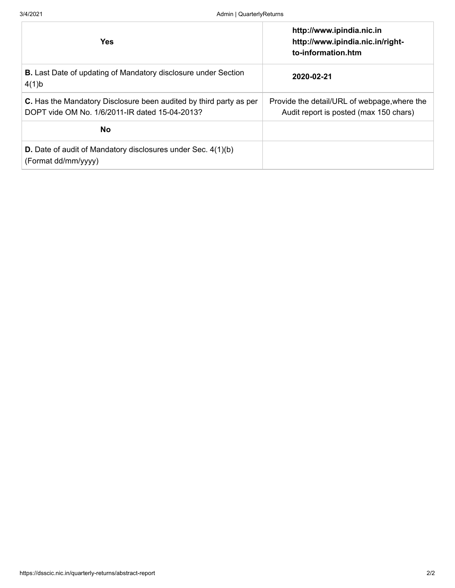| <b>Yes</b>                                                                                                           | http://www.ipindia.nic.in<br>http://www.ipindia.nic.in/right-<br>to-information.htm    |
|----------------------------------------------------------------------------------------------------------------------|----------------------------------------------------------------------------------------|
| <b>B.</b> Last Date of updating of Mandatory disclosure under Section<br>4(1)b                                       | 2020-02-21                                                                             |
| C. Has the Mandatory Disclosure been audited by third party as per<br>DOPT vide OM No. 1/6/2011-IR dated 15-04-2013? | Provide the detail/URL of webpage, where the<br>Audit report is posted (max 150 chars) |
| <b>No</b>                                                                                                            |                                                                                        |
| <b>D.</b> Date of audit of Mandatory disclosures under Sec. 4(1)(b)<br>(Format dd/mm/yyyy)                           |                                                                                        |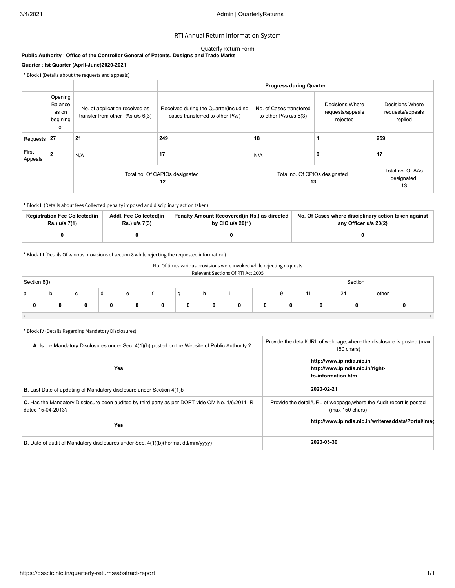#### Quaterly Return Form

#### **Public Authority** : **Office of the Controller General of Patents, Designs and Trade Marks Quarter** : **Ist Quarter (April-June)2020-2021**

**\*** Block I (Details about the requests and appeals)

|                  |                                               |                                                                    | <b>Progress during Quarter</b>                                            |                                                  |                                                 |                                                |  |  |  |  |
|------------------|-----------------------------------------------|--------------------------------------------------------------------|---------------------------------------------------------------------------|--------------------------------------------------|-------------------------------------------------|------------------------------------------------|--|--|--|--|
|                  | Opening<br>Balance<br>as on<br>begining<br>of | No. of application received as<br>transfer from other PAs u/s 6(3) | Received during the Quarter (including<br>cases transferred to other PAs) | No. of Cases transfered<br>to other PAs u/s 6(3) | Decisions Where<br>requests/appeals<br>rejected | Decisions Where<br>requests/appeals<br>replied |  |  |  |  |
| Requests         | 27                                            | 21                                                                 | 249                                                                       | 18                                               |                                                 | 259                                            |  |  |  |  |
| First<br>Appeals | 2                                             | N/A                                                                | 17                                                                        | N/A                                              | 0                                               | 17                                             |  |  |  |  |
|                  |                                               |                                                                    | Total no. Of CAPIOs designated<br>12                                      | Total no. Of CPIOs designated<br>13              |                                                 | Total no. Of AAs<br>designated<br>13           |  |  |  |  |

**\*** Block II (Details about fees Collected,penalty imposed and disciplinary action taken)

| <b>Registration Fee Collected(in</b> | Addl. Fee Collected(in | Penalty Amount Recovered(in Rs.) as directed | No. Of Cases where disciplinary action taken against |
|--------------------------------------|------------------------|----------------------------------------------|------------------------------------------------------|
| Rs.) u/s 7(1)                        | Rs.) u/s 7(3)          | by CIC $u/s$ 20(1)                           | any Officer u/s 20(2)                                |
|                                      |                        |                                              |                                                      |

**\*** Block III (Details Of various provisions of section 8 while rejecting the requested information)

#### No. Of times various provisions were invoked while rejecting requests

#### Relevant Sections Of RTI Act 2005

| Section 8(i) |    |   |   |   |   |             |   |   | Section |    |                          |    |       |
|--------------|----|---|---|---|---|-------------|---|---|---------|----|--------------------------|----|-------|
| a            | .c | ັ | a | e |   | $\sim$<br>У | n |   |         | -c | $\overline{\phantom{a}}$ | 24 | other |
| 0            | 0  |   |   |   | 0 |             |   | U | 0       |    |                          |    |       |
|              |    |   |   |   |   |             |   |   |         |    |                          |    |       |

| A. Is the Mandatory Disclosures under Sec. 4(1)(b) posted on the Website of Public Authority?                        | Provide the detail/URL of webpage, where the disclosure is posted (max<br>150 chars)             |
|----------------------------------------------------------------------------------------------------------------------|--------------------------------------------------------------------------------------------------|
| Yes                                                                                                                  | http://www.ipindia.nic.in<br>http://www.ipindia.nic.in/right-<br>to-information.htm              |
| <b>B.</b> Last Date of updating of Mandatory disclosure under Section 4(1)b                                          | 2020-02-21                                                                                       |
| C. Has the Mandatory Disclosure been audited by third party as per DOPT vide OM No. 1/6/2011-IR<br>dated 15-04-2013? | Provide the detail/URL of webpage, where the Audit report is posted<br>$(max 150 \text{ chars})$ |
| <b>Yes</b>                                                                                                           | http://www.ipindia.nic.in/writereaddata/Portal/Imag                                              |
| D. Date of audit of Mandatory disclosures under Sec. 4(1)(b)(Format dd/mm/yyyy)                                      | 2020-03-30                                                                                       |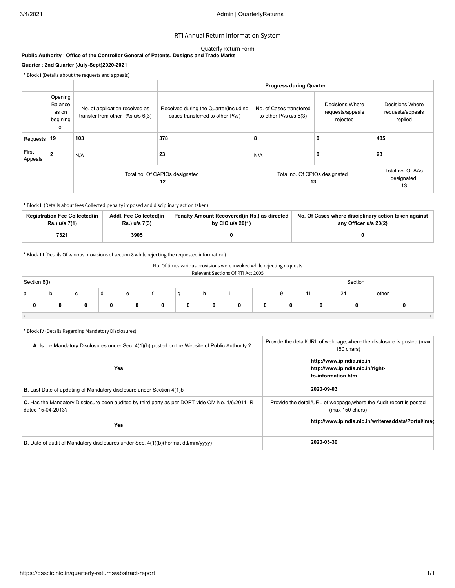#### Quaterly Return Form

#### **Public Authority** : **Office of the Controller General of Patents, Designs and Trade Marks Quarter** : **2nd Quarter (July-Sept)2020-2021**

**\*** Block I (Details about the requests and appeals)

|                  |                                               |                                                                    |                                                                           | <b>Progress during Quarter</b>                   |                                                 |                                                |  |  |
|------------------|-----------------------------------------------|--------------------------------------------------------------------|---------------------------------------------------------------------------|--------------------------------------------------|-------------------------------------------------|------------------------------------------------|--|--|
|                  | Opening<br>Balance<br>as on<br>begining<br>of | No. of application received as<br>transfer from other PAs u/s 6(3) | Received during the Quarter (including<br>cases transferred to other PAs) | No. of Cases transfered<br>to other PAs u/s 6(3) | Decisions Where<br>requests/appeals<br>rejected | Decisions Where<br>requests/appeals<br>replied |  |  |
| Requests         | 19                                            | 103                                                                | 378                                                                       | 8                                                | 0                                               | 485                                            |  |  |
| First<br>Appeals | $\mathbf{2}$                                  | N/A                                                                | 23                                                                        | N/A                                              | $\mathbf 0$                                     | 23                                             |  |  |
|                  |                                               |                                                                    | Total no. Of CAPIOs designated<br>12                                      | Total no. Of CPIOs designated<br>13              | Total no. Of AAs<br>designated<br>13            |                                                |  |  |

**\*** Block II (Details about fees Collected,penalty imposed and disciplinary action taken)

| <b>Registration Fee Collected(in</b> | Addl. Fee Collected(in | Penalty Amount Recovered(in Rs.) as directed | No. Of Cases where disciplinary action taken against |
|--------------------------------------|------------------------|----------------------------------------------|------------------------------------------------------|
| Rs.) u/s 7(1)                        | Rs.) u/s 7(3)          | by CIC $u/s$ 20(1)                           | any Officer u/s 20(2)                                |
| 7321                                 | 3905                   |                                              |                                                      |

**\*** Block III (Details Of various provisions of section 8 while rejecting the requested information)

#### No. Of times various provisions were invoked while rejecting requests

#### Relevant Sections Of RTI Act 2005

| Section 8(i)               |    |                 |   |   |   |     |   | Section |   |         |                       |    |       |
|----------------------------|----|-----------------|---|---|---|-----|---|---------|---|---------|-----------------------|----|-------|
| a                          | ı. | $\sqrt{2}$<br>ັ | u | e |   | . . | n |         |   | o<br>-3 | $\overline{A}$<br>. . | 24 | other |
| 0                          |    | 0               |   |   | 0 | 0   |   | 0       | 0 |         |                       |    |       |
| the company of the company |    |                 |   |   |   |     |   |         |   |         |                       |    |       |

| A. Is the Mandatory Disclosures under Sec. 4(1)(b) posted on the Website of Public Authority?                        | Provide the detail/URL of webpage, where the disclosure is posted (max<br>150 chars)             |
|----------------------------------------------------------------------------------------------------------------------|--------------------------------------------------------------------------------------------------|
| <b>Yes</b>                                                                                                           | http://www.ipindia.nic.in<br>http://www.ipindia.nic.in/right-<br>to-information.htm              |
| <b>B.</b> Last Date of updating of Mandatory disclosure under Section 4(1)b                                          | 2020-09-03                                                                                       |
| C. Has the Mandatory Disclosure been audited by third party as per DOPT vide OM No. 1/6/2011-IR<br>dated 15-04-2013? | Provide the detail/URL of webpage, where the Audit report is posted<br>$(max 150 \text{ chars})$ |
| Yes                                                                                                                  | http://www.ipindia.nic.in/writereaddata/Portal/Imag                                              |
| <b>D.</b> Date of audit of Mandatory disclosures under Sec. $4(1)(b)(\text{Format dd/mm/yyy})$                       | 2020-03-30                                                                                       |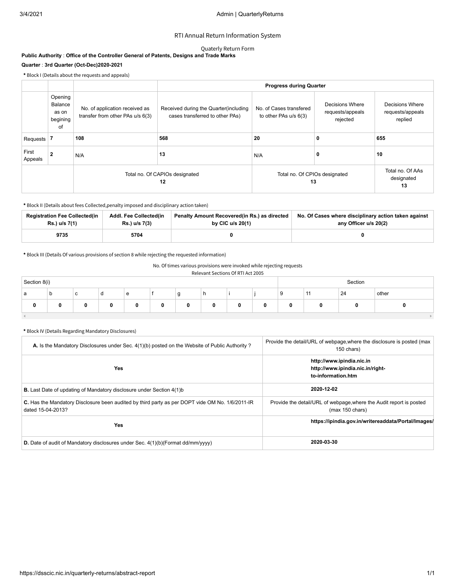#### Quaterly Return Form

#### **Public Authority** : **Office of the Controller General of Patents, Designs and Trade Marks Quarter** : **3rd Quarter (Oct-Dec)2020-2021**

**\*** Block I (Details about the requests and appeals)

|                  |                                               |                                                                    |                                                                           | <b>Progress during Quarter</b>                   |                                                 |                                                |  |  |
|------------------|-----------------------------------------------|--------------------------------------------------------------------|---------------------------------------------------------------------------|--------------------------------------------------|-------------------------------------------------|------------------------------------------------|--|--|
|                  | Opening<br>Balance<br>as on<br>begining<br>of | No. of application received as<br>transfer from other PAs u/s 6(3) | Received during the Quarter (including<br>cases transferred to other PAs) | No. of Cases transfered<br>to other PAs u/s 6(3) | Decisions Where<br>requests/appeals<br>rejected | Decisions Where<br>requests/appeals<br>replied |  |  |
| Requests         |                                               | 108                                                                | 568                                                                       | 20                                               | 0                                               | 655                                            |  |  |
| First<br>Appeals | 2                                             | N/A                                                                | 13                                                                        | N/A                                              | 0                                               | 10                                             |  |  |
|                  |                                               |                                                                    | Total no. Of CAPIOs designated<br>12                                      | Total no. Of CPIOs designated<br>13              | Total no. Of AAs<br>designated<br>13            |                                                |  |  |

**\*** Block II (Details about fees Collected,penalty imposed and disciplinary action taken)

| <b>Registration Fee Collected (in</b> | Addl. Fee Collected(in | Penalty Amount Recovered(in Rs.) as directed | No. Of Cases where disciplinary action taken against |
|---------------------------------------|------------------------|----------------------------------------------|------------------------------------------------------|
| Rs.) u/s 7(1)                         | Rs.) u/s 7(3)          | by CIC $u/s$ 20(1)                           | any Officer u/s 20(2)                                |
| 9735                                  | 5704                   |                                              |                                                      |

**\*** Block III (Details Of various provisions of section 8 while rejecting the requested information)

#### No. Of times various provisions were invoked while rejecting requests

#### Relevant Sections Of RTI Act 2005

| Section 8(i) |    |   |   |   |   | Section     |   |   |   |    |                          |    |       |
|--------------|----|---|---|---|---|-------------|---|---|---|----|--------------------------|----|-------|
| a            | .c | ັ | a | e |   | $\sim$<br>У | n |   |   | -c | $\overline{\phantom{a}}$ | 24 | other |
| 0            | 0  |   |   |   | 0 |             |   | U | 0 |    |                          |    |       |
|              |    |   |   |   |   |             |   |   |   |    |                          |    |       |

| A. Is the Mandatory Disclosures under Sec. 4(1)(b) posted on the Website of Public Authority?                               | Provide the detail/URL of webpage, where the disclosure is posted (max<br>150 chars)             |
|-----------------------------------------------------------------------------------------------------------------------------|--------------------------------------------------------------------------------------------------|
| Yes                                                                                                                         | http://www.ipindia.nic.in<br>http://www.ipindia.nic.in/right-<br>to-information.htm              |
| <b>B.</b> Last Date of updating of Mandatory disclosure under Section 4(1)b                                                 | 2020-12-02                                                                                       |
| <b>C.</b> Has the Mandatory Disclosure been audited by third party as per DOPT vide OM No. 1/6/2011-IR<br>dated 15-04-2013? | Provide the detail/URL of webpage, where the Audit report is posted<br>$(max 150 \text{ chars})$ |
| Yes                                                                                                                         | https://ipindia.gov.in/writereaddata/Portal/Images/                                              |
| D. Date of audit of Mandatory disclosures under Sec. 4(1)(b)(Format dd/mm/yyyy)                                             | 2020-03-30                                                                                       |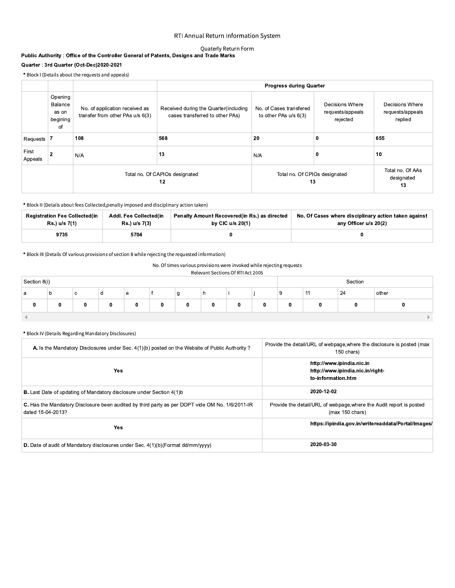## Quaterly Return Form

# Quarter : 3rd Quarter (Oct-Dec)2020-2021

|                                         | RTI Annual Return Information System                                                                            |                                                                    |                                                                          |                                                  |                                                 |                                                |  |  |  |  |  |  |  |
|-----------------------------------------|-----------------------------------------------------------------------------------------------------------------|--------------------------------------------------------------------|--------------------------------------------------------------------------|--------------------------------------------------|-------------------------------------------------|------------------------------------------------|--|--|--|--|--|--|--|
|                                         | Quaterly Return Form<br>Public Authority : Office of the Controller General of Patents, Designs and Trade Marks |                                                                    |                                                                          |                                                  |                                                 |                                                |  |  |  |  |  |  |  |
| Quarter: 3rd Quarter (Oct-Dec)2020-2021 |                                                                                                                 |                                                                    |                                                                          |                                                  |                                                 |                                                |  |  |  |  |  |  |  |
|                                         |                                                                                                                 | * Block I (Details about the requests and appeals)                 |                                                                          |                                                  |                                                 |                                                |  |  |  |  |  |  |  |
|                                         |                                                                                                                 |                                                                    | <b>Progress during Quarter</b>                                           |                                                  |                                                 |                                                |  |  |  |  |  |  |  |
|                                         | Opening<br>Balance<br>as on<br>begining<br>of                                                                   | No. of application received as<br>transfer from other PAs u/s 6(3) | Received during the Quarter(including<br>cases transferred to other PAs) | No. of Cases transfered<br>to other PAs u/s 6(3) | Decisions Where<br>requests/appeals<br>rejected | Decisions Where<br>requests/appeals<br>replied |  |  |  |  |  |  |  |
| Requests $ 7$                           |                                                                                                                 | 108                                                                | 568                                                                      | 20                                               | 0                                               | 655                                            |  |  |  |  |  |  |  |
| First<br>Appeals                        | $\overline{2}$                                                                                                  | N/A                                                                | 13                                                                       | N/A                                              | $\mathbf 0$                                     | 10                                             |  |  |  |  |  |  |  |
|                                         |                                                                                                                 |                                                                    | Total no. Of CAPIOs designated<br>12                                     | Total no. Of CPIOs designated<br>13              | Total no. Of AAs<br>designated<br>13            |                                                |  |  |  |  |  |  |  |

| * Block II (Details about fees Collected, penalty imposed and disciplinary action taken) |                                         |                                                                    |                                                                               |  |  |
|------------------------------------------------------------------------------------------|-----------------------------------------|--------------------------------------------------------------------|-------------------------------------------------------------------------------|--|--|
| <b>Registration Fee Collected(in</b><br>Rs.) u/s 7(1)                                    | Addl. Fee Collected(in<br>Rs.) u/s 7(3) | Penalty Amount Recovered(in Rs.) as directed<br>by CIC $u/s$ 20(1) | No. Of Cases where disciplinary action taken against<br>any Officer u/s 20(2) |  |  |
| 9735                                                                                     | 5704                                    | 0                                                                  |                                                                               |  |  |

| Relevant Sections Of RTI Act 2005 |  |
|-----------------------------------|--|
|                                   |  |

| Section 8(i) |   |             |   |   |   |   |   |   | Section |    |    |       |
|--------------|---|-------------|---|---|---|---|---|---|---------|----|----|-------|
| а            | b | $\sim$<br>v | u | e |   | g | h |   | 9       | 11 | 24 | other |
|              |   | 0           | 0 | 0 | 0 | 0 | 0 | 0 | 0       | 0  | 0  |       |
|              |   |             |   |   |   |   |   |   |         |    |    |       |

| A. Is the Mandatory Disclosures under Sec. 4(1)(b) posted on the Website of Public Authority?                        | Provide the detail/URL of webpage, where the disclosure is posted (max<br>150 chars)   |
|----------------------------------------------------------------------------------------------------------------------|----------------------------------------------------------------------------------------|
| <b>Yes</b>                                                                                                           | http://www.ipindia.nic.in<br>http://www.ipindia.nic.in/right-<br>to-information.htm    |
| <b>B.</b> Last Date of updating of Mandatory disclosure under Section 4(1)b                                          | 2020-12-02                                                                             |
| C. Has the Mandatory Disclosure been audited by third party as per DOPT vide OM No. 1/6/2011-IR<br>dated 15-04-2013? | Provide the detail/URL of webpage, where the Audit report is posted<br>(max 150 chars) |
| <b>Yes</b>                                                                                                           | https://ipindia.gov.in/writereaddata/Portal/Images/                                    |
| D. Date of audit of Mandatory disclosures under Sec. 4(1)(b)(Format dd/mm/yyyy)                                      | 2020-03-30                                                                             |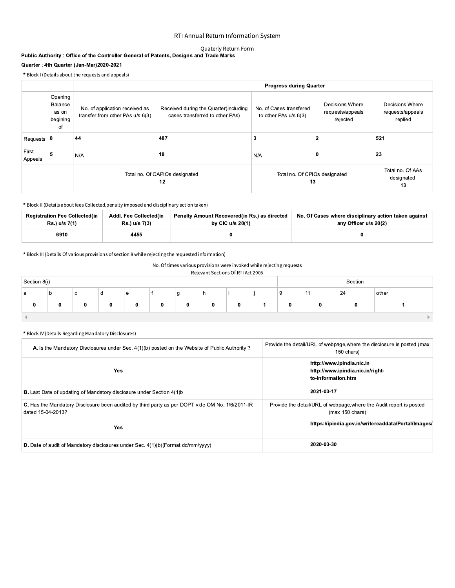## Quaterly Return Form

|                  |                                               |                                                                                         | RTI Annual Return Information System                                     |                                                  |                                                 |                                                |
|------------------|-----------------------------------------------|-----------------------------------------------------------------------------------------|--------------------------------------------------------------------------|--------------------------------------------------|-------------------------------------------------|------------------------------------------------|
|                  |                                               | Public Authority : Office of the Controller General of Patents, Designs and Trade Marks | Quaterly Return Form                                                     |                                                  |                                                 |                                                |
|                  |                                               | Quarter: 4th Quarter (Jan-Mar)2020-2021                                                 |                                                                          |                                                  |                                                 |                                                |
|                  |                                               | * Block I (Details about the requests and appeals)                                      |                                                                          |                                                  |                                                 |                                                |
|                  |                                               |                                                                                         |                                                                          | <b>Progress during Quarter</b>                   |                                                 |                                                |
|                  | Opening<br>Balance<br>as on<br>begining<br>of | No. of application received as<br>transfer from other PAs u/s 6(3)                      | Received during the Quarter(including<br>cases transferred to other PAs) | No. of Cases transfered<br>to other PAs u/s 6(3) | Decisions Where<br>requests/appeals<br>rejected | Decisions Where<br>requests/appeals<br>replied |
| Requests $8$     |                                               | 44                                                                                      | 487                                                                      | 3                                                | $\overline{2}$                                  | 521                                            |
| First<br>Appeals | 5                                             | N/A                                                                                     | 18                                                                       | N/A                                              | $\mathbf 0$                                     | 23                                             |
|                  |                                               |                                                                                         | Total no. Of CAPIOs designated<br>12                                     | Total no. Of CPIOs designated<br>13              |                                                 | Total no. Of AAs<br>designated<br>13           |

|                                                       | * Block II (Details about fees Collected, penalty imposed and disciplinary action taken) |                                                                    |                                                                               |  |  |
|-------------------------------------------------------|------------------------------------------------------------------------------------------|--------------------------------------------------------------------|-------------------------------------------------------------------------------|--|--|
| <b>Registration Fee Collected(in</b><br>Rs.) u/s 7(1) | Addl. Fee Collected(in<br>Rs.) u/s 7(3)                                                  | Penalty Amount Recovered(in Rs.) as directed<br>by CIC $u/s$ 20(1) | No. Of Cases where disciplinary action taken against<br>any Officer u/s 20(2) |  |  |
| 6910                                                  | 4455                                                                                     | 0                                                                  |                                                                               |  |  |

| Relevant Sections Of RTI Act 2005 |  |
|-----------------------------------|--|
|                                   |  |

| Section 8(i) |   |   |   |   |   |   |          |   |          |    | Section |       |
|--------------|---|---|---|---|---|---|----------|---|----------|----|---------|-------|
| а            | D | c | a | e |   | g | <b>n</b> |   | 9        | 11 | 24      | other |
| 0            | 0 |   | 0 | 0 | 0 | 0 | 0        | 0 | $\bf{0}$ | 0  | 0       |       |
|              |   |   |   |   |   |   |          |   |          |    |         |       |

| A. Is the Mandatory Disclosures under Sec. 4(1)(b) posted on the Website of Public Authority?                        | Provide the detail/URL of webpage, where the disclosure is posted (max<br>150 chars)   |
|----------------------------------------------------------------------------------------------------------------------|----------------------------------------------------------------------------------------|
| <b>Yes</b>                                                                                                           | http://www.ipindia.nic.in<br>http://www.ipindia.nic.in/right-<br>to-information.htm    |
| <b>B.</b> Last Date of updating of Mandatory disclosure under Section 4(1)b                                          | 2021-03-17                                                                             |
| C. Has the Mandatory Disclosure been audited by third party as per DOPT vide OM No. 1/6/2011-IR<br>dated 15-04-2013? | Provide the detail/URL of webpage, where the Audit report is posted<br>(max 150 chars) |
| <b>Yes</b>                                                                                                           | https://ipindia.gov.in/writereaddata/Portal/Images/                                    |
| D. Date of audit of Mandatory disclosures under Sec. 4(1)(b)(Format dd/mm/yyyy)                                      | 2020-03-30                                                                             |